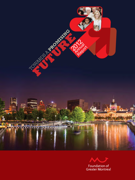

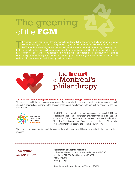# The greening of the **FGM**

his annual report constitutes the first modest step towards the adoption by the Foundation of Greater In this annual report constitutes the first modest step towards the adoption by the Foundation of Greater<br>Montreal (FGM) of a greening strategy driven by ecological and economic considerations. Thus, the<br>FGM intends to mat



## The **heart**  of Montréal's philanthropy

**The FGM is a charitable organization dedicated to the well-being of the Greater Montréal community**. To that end, it establishes and manages endowment funds and distributes their income in the form of grants to local charitable organizations working in the areas of health, social development, arts and culture, education, and the environment.



The FGM is a member of *Community Foundations of Canada* (CFC), an organization numbering 180 members that reach thousands of cities and towns across Canada, and whose collective assets total more than \$3 billion. The oldest Canadian community foundation was established in Winnipeg in 1921 while Montréal's became the country's 109th in 1999.

Today, some 1,400 community foundations across the world share their skills and information in the pursuit of their missions.

*FOR MORE INFORMATION:* **Foundation of Greater Montreal** 1, Place Ville-Marie, suite 1918, Montréal (Québec) H3B 2C3 Telephone: 514-866-0808 Fax: 514-866-4202 info@fgmtl.org www.fgmtl.org

Charitable organization registration number: 88197 9124 RR 0001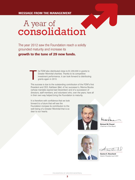#### **MESSAGE FROM THE MANAGEMENT**

# A year of consolidation

The year 2012 saw the Foundation reach a solidly grounded maturity and increase its

## **growth to the tune of 29 new funds.**

he FGM also distributed close to \$1,200,000 in grants to Greater Montréal charities. Thanks to its competitive investment performance, it can look forward to distributing grants again in 2013. T

This success is due to the outstanding contribution of the FGM's first President and CEO, Kathleen Weil, of her successor's, Marina Boulos (whose mandate expired last December) and of a succession of directors, staff members, and volunteers who, over the years, have all in their own way helped bring the Foundation to maturity.

It is therefore with confidence that we look forward to a future that will see the Foundation increase its contribution to the well-being of a Greater Montréal that is so dear to our hearts.



**Richard W. Pound** *Chairman of the Board*



**Gaston E. Bouchard** *Interim President and CEO*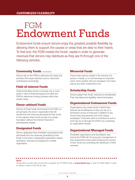# FGM Endowment Funds

Endowment funds ensure donors enjoy the greatest possible flexibility by allowing them to support the causes or areas that are dear to their hearts. To that end, the FGM invests the funds' capital in order to generate revenues that donors may distribute as they see fit through one of the following vehicles:

## **Community Funds** (unrestricted)

Donors rely on the FGM to determine the areas and priorities that require attention and to invest their contributions accordingly.

#### **Field-of-interest Funds**

These funds allow donors to choose one or more areas in need of financial support and allow the FGM to determine funding priorities within their chosen areas.

## **Donor-advised Funds**

Owners of these funds recommend to the FGM, on annual basis, the area or organization that will benefit from the revenues generated by their funds. In this respect, these funds are akin to a private foundation without the inherent financial or administrative hassles.

## **Designated Funds**

Donors designate those charitable organizations that will benefit from the revenues generated by their funds. In the event a designated organization ceases operations, revenues are assigned to a similar organization.

#### **Memorial Funds**

These funds may be created in the memory of a person or family, or to commemorate an important event. Once created, they are managed in the same way as any other endowment fund.

### **Scholarship Funds**

Donors assign their funds' revenues to scholarships. They may determine eligibility criteria themselves.

## **Organizational Endowment Funds**

Organizations may create funds of which they become the beneficiaries so they can rely on a permanent source of revenues in addition to any income they may generate from fund-raising campaigns. Those who wish to contribute to such a fund may do so through the FGM or by contacting an organization directly.

### **Organizational Managed Funds**

Charitable organizations and foundations may entrust the FGM with the long-term management of their endowment funds while remaining the owners of their funds and controlling the distribution of their revenues.

#### . . . . . *Note:*

Those who so wish may consult the complete list of FGM funds at **www.fgmtl.org** or dial 514-866-0808 in order to obtain a copy of the list by mail.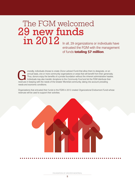## The FGM welcomed 29 new funds in 2012 In all, 29 organizations or individuals have entrusted the FGM with the management of funds **totaling \$7 million**.

enerally, individuals choose to create *Donor-advised Funds* that allow them to designate, on an annual basis, one or more community organizations or areas that will benefit from their generosity. Thus, donors enjoy the benefits of a private foundation without the inherent administrative hassles. Individuals may also transfer donations to the *Community Fund* and let the FGM distribute their enerally, individuals choose to create *Donor-advised Funds* that allow them to designate, on a annual basis, one or more community organizations or areas that will benefit from their general Thus, donors enjoy the benefit needs and economic conditions.

Organizations that entrusted their funds to the FGM in 2012 created *Organizational Endowment Funds* whose revenues will be used to support their activities.

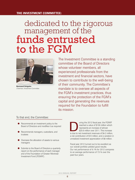# dedicated to the rigorous management of the funds entrusted to the FGM



**Normand Grégoire** *Chairman, Investment Committee* 

The Investment Committee is a standing committee of the Board of Directors whose volunteer members, all experienced professionals from the investment and financial sectors, have chosen to contribute to the well-being of their community. The Committee's mandate is to oversee all aspects of the FGM's investment practices, thus ensuring the protection of the FGM's capital and generating the revenues required for the Foundation to fulfill its mission.

## To that end, the Committee:

- Recommends an investment policy to the Board of Directors and modifies it as required
- Recommends managers, custodians, and trustees
- Oversees the allocation of assets to various managers
- Submits to the Board of Directors a quarterly report on the performance of each manager and of the Foundation of Greater Montreal Investment Fund (FGMIF).

uring the 2012 fiscal year, the FGMIF reached a value of \$136 million which represents an increase of almost \$20.6 million over 2011. This increase The method a value of \$136 million which<br>represents an increase of almost<br>\$20.6 million over 2011. This increase<br>is due to net investment revenues of \$4.2 million, a net contribution of \$10 million, and a variation in unrealized investment appreciation of \$6 million.

Fiscal year 2012 turned out to be excellent as our overall portfolio yielded good results. Our net performance of 9.1% for 2012 compares to an average performance of 7.3 % over the past four years.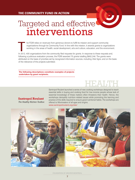### **THE COMMUNITY FUND IN ACTION**

# Targeted and effective interventions

he FGM relies on revenues from generous donors to fulfill its mission and support community organizations through its Community Fund. In line with this mission, it awards grants to organizations working in the areas of health, social development, arts and culture, education, and the environment. In 2012, 400 organizations from the community fund. In line with this mission and support community organizations through its Community Fund. In line with this mission, it awards grants to organization working in the areas

following a judicious evaluation process, the FGM awarded 70 grants totalling \$662,246. The grants were attributed on the basis of priorities set by recognized information sources, including *Vital Signs*, and on the basis of the relevance of the projects submitted.

**The following descriptions constitute examples of projects undertaken by grant recipients.** 

**Santropol Roulant**  *The Healthy Kitchen Toolbox*

# HE AT JET

Santropol Roulant launched a series of new cooking workshops designed to teach essential skills in buying and cooking food for low-income people whose lack of essential knowledge of these matters often threatens their health. Hence, the workshops demystify nutrition-related issues while promoting the learning and practice of the skills required to ensure good nutritional habits. The workshops are offered to Montrealers of all ages and origins. www.santropolroulant.org/site/

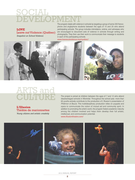# SOCIAL DEVELOPMENT

### **LOVE**  Leave out Violence (Québec) *Snapshot on School Violence*

The program deals with violence in schools by targeting a group of some 200 francophone and anglophone students between the ages of 15 and 25 who attend participating schools. The group includes intimidators, victims, and witnesses who are encouraged to document acts of violence in schools through writing and photography. They then use their work to communicate their message to students in each of the participating schools.

www.leaveoutviolence.org/quebec/



# **TS** and **CULTURE**

**L'Illusion** Théâtre de marionnettes *Young citizens and artistic creativity* The project is aimed at children between the ages of 7 and 12 who attend disadvantaged schools in Montréal. Throughout the school year, more than 60 youths actively contribute to the production of L'Illusion's presentation of *Philémon et Baucis*. This multidisciplinary production relies on puppets and opera to communicate the notion of mutual aid and community spirit. In addition to promoting the artist's work, the program fosters academic maturity among the children involved and helps them develop their full artistic, intellectual, and communication potential. www.illusiontheatre.com/

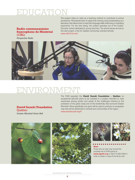# **EDUCATION**

#### **Radio communautaire francophone de Montréal**  (CIBL)

*Perspective Radio*

The project relies on radio as a teaching method to contribute to school persistence. Participants learn to apply their training using broadcasting as a laboratory that allows them to test their language skills while living a motivating experience. For the time being, the project operates out of the Eulalie-Durocher school dedicated to young returners. The school serves as host to this pilot project, a first for Québec community-oriented schools. www.cibl1015.com/



# ENVIRON

#### **David Suzuki Foundation Ouébec**

*Greater Montréal Green Belt* 

The FGM awarded the **David Suzuki Foundation - Québec** an exceptional \$25,000 grant to be invested in a project intended to raise awareness among youths and adults of the challenges inherent to the protection of the green areas and of the biodiversity that surround Greater Montréal. More specifically, the grant will be used to produce an ecosystem map that will be distributed in schools and communities of the region. www.davidsuzuki.org/fr







*Note:* Those who so wish may consult the complete list of FGM grants at **www.fgmtl.org** or dial 514-866-0808 in order to obtain a copy of the list by mail.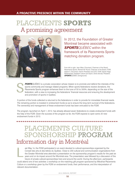## **A PROACTIVE PRESENCE WITHIN THE COMMUNITY**

## PLACEMENTS **SPORTS** A promising agreement



In 2012, the Foundation of Greater Montreal became associated with *SPORTSQUÉBEC* within the framework of its Placements Sports matching donation program.

From left to right: Jean-Marc Chouinard, Chairman of the Board, Placements Sports, Richard W. Pound, Chairman of the Board, FGM, Gaston E. Bouchard, Interim President and CEO, FGM, Sylvain Pagé, Parliamentary Assistant Leisure and Sport, Denis Servais, President, *SPORTSQUÉBEC* (foreground).

*PORTSQUÉBEC* is a private corporation whose mission is to promote and defend the interests of the sports community and manage related programs. When sports federations receive donations, the Placements Sports program enhances them to the tune of 50 to 300%, depending on the size of the federation, with a view to increasing the federations' financial resources and ensuring the development and promotion of sports in Québec. S

A portion of the funds collected is returned to the federations in order to provide for immediate financial needs. The remaining portion is invested in endowment funds so as to ensure the long-term survival of the federations. The ownership and management of these endowment funds has been entrusted to the FGM.

The program, launched on April 1, 2012, has already allowed seven federations to create endowment funds with the help of the FGM. Given the success of the program so far, the FGM expects to open some 20 new endowment funds in 2013.

PLACEMENTS CULTURE SPONSHORSHIP PROGRAM Information day in Montréal

ast May 14, the FGM participated in an event devoted to cultural sponsorships organized by the Conseil des arts et des lettres du Québec. Close to 200 cultural and communication organizations from the Greater Montréal area attended a presentation on the sponsorship program's results for the past six years and on its impact around the Montréal area. The presentation was followed by a discussion of the

future of private cultural sponsorships here and around the world. During the afternoon, participants could attend one of two activities: a workshop on the matching gift program sponsored by Mécénat Placements Culture or a workshop given by the FGM on endowment funds, their performance, and the interpretation of relevant documentation. L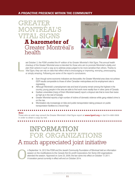## **A PROACTIVE PRESENCE WITHIN THE COMMUNITY**

## **GREAT** MONTRÉAL'S VITAL SIGNS **A barometer of** Greater Montréal's health

L



ast October 2, the FGM unveiled the 6<sup>th</sup> edition of its *Greater Montréal's Vital Signs*. This annual health checkup of the Greater Montréal area is intended for those who aim to promote Montréal's vitality and plan their actions in such a way as to address areas judged to be more sensitive than others. Thanks to *Vital Signs*, they can rely on data that reflect what is encouraging or improving, worrying, preoccupying, or simply amazing. Following are some of the report's conclusions.

- Even though some economic indicators are favourable, the Greater Montréal area does not achieve GDP results comparable to those of other Canadian metropolises and its employment rate is regressing.
- Although Montréal's unemployment rate and level of poverty remain among the highest in the country, young people in the area are able to find work more readily than in other parts of Canada.
- Québec universities (many of them Montréal-based) report a dropout rate that is more than twice as high as in the rest of Canada.
- Greater Montréal reports a high number of victims of domestic violence while gang-related crime is on the rise.
- Montrealers rely increasingly on bike and public transportation taking pressure on public transportation facilities to a record high.

## *Note:*

Those who so wish may consult the Greater Montréal's Vital Signs report at **www.fgmtl.org** or dial 514-866-0808 in order to obtain a copy by mail.

## INFORMATION FOR ORGANIZATIONS A much appreciated joint initiative

n September 14, 2012 the FGM and the Jewish Community Foundation of Montreal held an information session on the modifications to the *Canada Not-for-profit Corporations Act.* Some 200 organizations attended the session. Approved on June 23, 2009, the law came into effect on October 17, 2011. A transition period currently in effect will end on October 2014.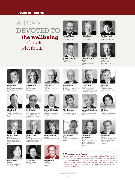### **BOARD OF DIRECTORS**

## A TEAM DEVOTED TO **the wellbeing**  of Greater





**Richard W. Pound** *Chairman Partner, Stikeman Elliott*



**Jean-Guy Gourdeau Treasurer** *President, Solstice*



**J. Gilles Nolet**  *Vice-Chairman President, Telon Inc.*



**Claire Richer Leduc** *Secretary Lawyer (Mandate ended on June 13, 2012)*

**Pierre Comtois** *Director*



**Madeleine Féquière** *Secretary Director of Corporate Credit,* Domta



**François R. Roy** *Treasurer Corporate Director (Mandate ended on June 13, 2012)*



**Armand Afilalo** *Director President, MEP Technologies Inc. (Mandate ended on June 13, 2012)*





**Gilles Émond** *Director Treasurer, Centraide Foundation (Mandate ended on June 13, 2012)*



**Bernard Lamarre** *Director Chairman of the Board, École Polytechnique de Montréal (Mandate ended on June 13,*

*2012)*



**Isabelle Perras** *Director Vice-President and General Manager, Citoyen Optimum*



**W. John Gallop** *Director Portfolio Manager, MacDougall, MacDougall & MacTier Inc. (Mandate ended on June 13,*

**Roland Lescure** *Director*

**Sheila Goldbloom** *Honorary Director*

*Executive Vice-President and Chief Investment Officer, Caisse de dépôt et placement du Québec*

*2012)*

**Tim Brodhead** *Director Senior Advisor, Social Innovation Generation*



**Norman E. Hébert Jr.** *Director President and Chief Executive Officer, Groupe Park Avenue Inc.*



**Monette Malewski** *Director President, Groupe M. Bacal Inc.*



**Harry Feldman** *Director Partner Schwartz, Levitsky, Feldman*



**Jean Camerlain** *Director Executive Vice-President and Chief Operation Officer, Centraide*

*Director*

**Peter McAuslan** *Director*

*McAuslan*

*President and Founder, Brasserie*



**Alice Herscovitch** *General Manager, Montreal Holocaust Memorial Centre*





**Dominique A. McCaughey**

*Director Associate Vice-President, Office of University Advancement and Alumni Relations, Concordia University*



**Marcel Côté**  *Director Founding Partner, Secor (Mandate ended on June 13, 2012)*



**Aïda Kamar** *Director President and General Manager, Vision Diversité*



**Michael Novak** *Director Executive Vice-President, Global Government, Aboriginal and Economic Affairs, SNC-Lavalin*

#### *In Memoriam – Harry Feldman*

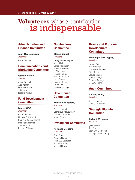## **Volunteers** whose contribution is indispensable

## **Administration and Finance Committee**

#### **Jean-Guy Gourdeau**,

*President*  Pierre Comtois

## **Communications and Marketing Committee**

#### **Isabelle Perras,** *President*

geneviève bich Aïda Kamar Peter McAuslan J. Gilles Nolet Isabelle Perrault

## **Fund Development Committee**

#### **Marcel Côté,**  *President*

Pierre Comtois Norman E. Hébert Jr Monique Jérôme-Forget Monette Malewski J. Gilles Nolet Richard W. Pound

## **Nominations Committee**

#### **Manon Vennat,**  *President*

Jocelyn-Ann Campbell Michel Leblanc Daniel McMahon Monette Malewski J. Gilles Nolet Nicolas Plourde Richard W. Pound Louis Roquet François R. Roy Louise Roy Danielle Sauvage

## **Governance Committee**

**Madeleine Féquière,**  *President*

Alice Herscovitch Dominique McCaughey Claire Richer Leduc Manon Vennat

### **Investment Committee**

**Normand Grégoire,**  *President*

Gilles Émond W. John Gallop Jean-Guy Gourdeau Roland Lescure Michael Novak

### **Grants and Program Development Committee**

#### **Dominique McCaughey,** *President*

Robert Alain Tim Brodhead Madeleine Féquière Aïda Kamar Claude Masse Michel Mongeon Danielle Sauvage Dana Vocisano

### **Audit Committee**

**J. Gilles Nolet,**  *President*

Jean Camerlain Norman E. Hébert Jr

#### **Strategic Planning Committee**

**Richard W. Pound,**  *President*

geneviève bich Tim Brodhead Jean-Guy Gourdeau Monique Jérôme-Forget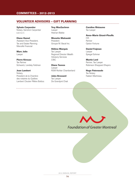### **COMMITTEES - 2012-2013**

### **VOLUNTEER ADVISORS – GIFT PLANNING**

**Sylvain Carpentier** Notary, Gendron Carpentier s.e.n.c.r.l.

**Diane Hamel** Assistant Vice-President, Tax and Estate Planning Manulife Financial

**Marc Jolin** Lawyer

**Pierre Kirouac**  Tax Partner Schwartz, Levitsky Feldman

**Jean Lambert**

Notary, President de la Chambre des notaires du Québec Lambert Cloutier Pillière Bolduc **Troy MacEachren**  Lawyer Heenan Blaikie

**Monette Malewski** President Groupe M. Bacal Inc.

**Hélène Marquis** Tax Lawyer Regional Director Wealth Advisory Services CIBC

**Diane Tsonos** Lawyer RSM Richter Chamberland

**Jules Brossard** Tax Lawyer De Grandpré Chait **Caroline Rhéaume** Tax Lawyer

**Anne-Marie Girard-Plouffe**, F.Pl. Partner Option Fortune

**Daniel Frajman** Lawyer Spiegel Sohmer

**Martin Lord** Partner, Tax Lawyer Robinson Sheppard Shapiro

**Hugo Patenaude** Tax Notary Fasken Martineau



**Foundation of Greater Montreal**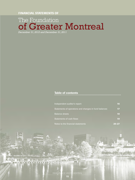**FINANCIAL STATEMENTS OF**

## The Foundation of Greater Montreal *December 31, 2012 and December 31, 2011*

**Table of contents**

| Independent auditor's report                          | 16        |
|-------------------------------------------------------|-----------|
| Statements of operations and changes in fund balances |           |
| <b>Balance sheets</b>                                 | 18        |
| Statements of cash flows                              | 19        |
| Notes to the financial statements                     | $20 - 27$ |

Thi Ein h tiê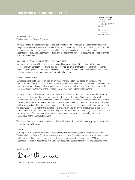**Deloitte s.e.n.c.r.l.** 1, Place Ville Marie Suite 3000 Montréal QC H3B 4T9 Canada

Tel: 514-393-7115 Fax: 514-390-4116 www.deloitte.ca

To the Members of The Foundation of Greater Montreal

We have audited the accompanying financial statements of The Foundation of Greater Montreal, which comprise the balance sheets as at December 31, 2012, December 31, 2011 and January 1, 2011, and the statements of operations and changes in fund balances and cash flows for the years ended December 31, 2012 and December 31, 2011, and a summary of significant accounting policies and other explanatory information.

#### *Management's Responsibility for the Financial Statements*

Management is responsible for the preparation and fair presentation of these financial statements in accordance with Canadian accounting standards for not-for-profit organizations, and for such internal control as management determines is necessary to enable the preparation of financial statements that are free from material misstatement, whether due to fraud or error.

#### *Auditor's Responsibility*

Our responsibility is to express an opinion on these financial statements based on our audits. We conducted our audits in accordance with Canadian generally accepted auditing standards. Those standards require that we comply with ethical requirements and plan and perform the audit to obtain reasonable assurance about whether the financial statements are free from material misstatement.

An audit involves performing procedures to obtain audit evidence about the amounts and disclosures in the financial statements. The procedures selected depend on the auditor's judgment, including the assessment of the risks of material misstatement of the financial statements, whether due to fraud or error. In making those risk assessments, the auditor considers internal control relevant to the entity's preparation and fair presentation of the financial statements in order to design audit procedures that are appropriate in the circumstances, but not for the purpose of expressing an opinion on the effectiveness of the entity's internal control. An audit also includes evaluating the appropriateness of accounting policies used and the reasonableness of accounting estimates made by management, as well as evaluating the overall presentation of the financial statements.

We believe that the audit evidence we have obtained in our audits is sufficient and appropriate to provide a basis for our audit opinion.

#### *Opinion*

In our opinion, the financial statements present fairly, in all material respects, the financial position of The Foundation of Greater Montreal as at December 31, 2012, December 31, 2011 and January 1, 2011, and the results of its operations and its cash flows for the years ended December 31, 2012 and December 31, 2011 in accordance with Canadian accounting standards for not-for-profit organizations.

March 28, 2013

deloitte prement \_\_\_\_\_\_\_\_\_\_\_\_\_\_\_\_\_\_\_\_

<sup>1</sup> CPA auditor, CA, public accountancy permit No. A120628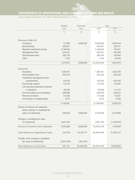## **STATEMENTS OF OPERATIONS AND CHANGES IN FUND BALANCES**

**years ended December 31, 2012 and December 31, 2011**

|                                         | Operating   | Endowment  | Total      |                    |  |
|-----------------------------------------|-------------|------------|------------|--------------------|--|
|                                         | Fund        | Fund       | 2012       | 2011               |  |
|                                         | \$          | \$         | Ś          | $\dot{\mathsf{S}}$ |  |
| Revenue (Note 10)                       |             |            |            |                    |  |
| Donations                               | 112,095     | 8,986,263  | 9,098,358  | 4,099,749          |  |
| Sponsorships                            | 339,001     |            | 339,001    | 253,741            |  |
| Realized investment income              | 2,196,924   |            | 2,196,924  | 705,451            |  |
| Management fees                         | 344,501     |            | 344,501    | 325,936            |  |
| Administration fees                     | 383,100     |            | 383,100    | 347,994            |  |
| Other                                   | 1,452       |            | 1,452      | 94,404             |  |
|                                         | 3,377,073   | 8,986,263  | 12,363,336 | 5,827,275          |  |
| <b>Expenses</b>                         |             |            |            |                    |  |
| Donations                               | 1,283,491   |            | 1,283,491  | 1,629,739          |  |
| Administration fees                     | 873,319     |            | 873,319    | 653,289            |  |
| Investment management ands              |             |            |            |                    |  |
| custodial fees                          | 407,233     |            | 407,233    | 402,430            |  |
| Community support                       | 118,125     |            | 118,125    | 133,090            |  |
| Life insurance premiums received        |             |            |            |                    |  |
| in donations                            | 50,095      |            | 50,095     | 114,154            |  |
| Communications and marketing            | 286,380     |            | 286,380    | 253,821            |  |
| Planned donations                       | 115,528     |            | 115,528    | 116,261            |  |
| Amortization of capital assets          | 3,910       |            | 3,910      | 6,495              |  |
|                                         | 3,138,081   |            | 3,138,081  | 3,309,279          |  |
| Excess of revenue over expenses         |             |            |            |                    |  |
| before change in unrealized fair        |             |            |            |                    |  |
| value of investments                    | 238,992     | 8,986,263  | 9,225,255  | 2,517,996          |  |
| Change in unrealized fair value         |             |            |            |                    |  |
| of investments                          | 2,801,874   |            | 2,801,874  | (1,050,657)        |  |
| <b>Excess of revenue over expenses</b>  | 3,040,866   | 8,986,263  | 12,027,129 | 1,467,339          |  |
| <b>Fund balances, beginning of year</b> | 242,749     | 52,704,717 | 52,947,466 | 51,480,127         |  |
| Transfer of the change in unrealized    |             |            |            |                    |  |
| fair value of investments               | (2,801,874) | 2,801,874  |            |                    |  |
| <b>Fund balances, end of year</b>       | 481,741     | 64,492,854 | 64,974,595 | 52,947,466         |  |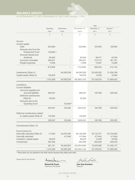## **BALANCE SHEETS**

**as at December 31, 2012, December 31, 2011 and January 1, 2011**

|                                                                          |           |            |              | Total        |            |
|--------------------------------------------------------------------------|-----------|------------|--------------|--------------|------------|
|                                                                          | Operating | Endowment  | December 31, | December 31. | January 1, |
|                                                                          | Fund      | Fund       | 2012         | 2011         | 2011       |
|                                                                          | \$        | \$         | \$           | \$           | \$         |
| <b>Assets</b>                                                            |           |            |              |              |            |
| Current assets                                                           |           |            |              |              |            |
| Cash                                                                     | 320,660   |            | 320,660      | 270,565      | 287,583    |
| Amounts due from the                                                     |           |            |              |              |            |
| <b>Endowment Fund</b>                                                    | 102,684 * |            |              |              |            |
| Accrued interest and                                                     |           |            |              |              |            |
| dividends                                                                | 90,948    |            | 90,948       | 96,017       | 48,764     |
| Accounts receivable                                                      | 284,031   |            | 284,031      | 215,715      | 261,761    |
| Prepaid expenses                                                         | 17,286    |            | 17,286       | 15,997       | 13,996     |
|                                                                          | 815,609   |            | 712,925      | 598,294      | 612,104    |
| Investments (Note 4)                                                     |           | 64,595,538 | 64,595,538   | 52,495,282   | 51,058,768 |
| Capital assets (Note 5)                                                  | 194,679   |            | 194,679      | 14,678       | 18,590     |
|                                                                          |           |            |              |              |            |
|                                                                          | 1,010,288 | 64,595,538 | 65,503,142   | 53,108,254   | 51,689,462 |
| <b>Liabilities</b><br><b>Current liabilities</b><br>Accounts payable and |           |            |              |              |            |
| accrued liabilities<br>Deferred contributions                            | 383,547   |            | 383,547      | 160,788      | 209,335    |
| (Note 8)                                                                 | 20,000    |            | 20,000       |              |            |
| Amounts due to the<br><b>Operating Fund</b>                              |           | 102,684*   |              |              |            |
|                                                                          | 403,547   | 102,684    | 403,547      | 160,788      | 209,335    |
| Deferred contributions related                                           |           |            |              |              |            |
| to capital assets (Note 8)                                               | 125,000   |            | 125,000      |              |            |
|                                                                          | 528,547   | 102,684    | 528,547      | 160,788      | 209,335    |
| Commitments (Note 12)                                                    |           |            |              |              |            |
| <b>Fund balances</b>                                                     |           |            |              |              |            |
| Externally restricted (Note 9)                                           | 117,493   | 64,075,405 | 64,192,898   | 52,122,701   | 50,734,863 |
| Internally restricted                                                    |           | 417,449    | 417,449      | 417,449      | 417,449    |
| Invested in capital assets                                               | 69,679    |            | 69,679       | 14,678       | 18,590     |
| Unrestricted                                                             | 294,569   |            | 294,569      | 392,638      | 309,225    |
|                                                                          | 481,741   | 64,492,854 | 64,974,595   | 52,947,466   | 51,480,127 |
|                                                                          | 1,010,288 | 64,595,538 | 65,503,142   | 53,108,254   | 51,689,462 |

\* These items are not reported in the Total column because they offset each other.

**Approved by the Board**

Nicarakan

**Richard W. Pound** *Chairman of the Board*

Jem for Solo

**Jean-Guy Gourdeau** *Treasurer*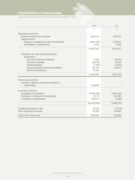## **STATEMENTS OF CASH FLOWS**

**years ended December 31, 2012 and December 31, 2011**

|                                                                    | 2012                | 2011        |
|--------------------------------------------------------------------|---------------------|-------------|
|                                                                    | \$                  | \$          |
| <b>Operating activities</b>                                        |                     |             |
| Excess of revenue over expenses                                    | 12,027,129          | 1,467,339   |
| Adjustments for:<br>Change in unrealized fair value of investments | (2,801,874)         | 1,050,657   |
| Amortization of capital assets                                     | 3,910               | 6,495       |
|                                                                    | 9,229,165           | 2,524,491   |
| Changes in non-cash operating working                              |                     |             |
| capital items                                                      |                     |             |
| Accrued interest and dividends                                     | 5,069               | (47, 253)   |
| Accounts receivable                                                | (68, 316)           | 46,046      |
| Prepaid expenses<br>Accounts payable and accrued liabilities       | (1, 289)<br>222,759 | (2,001)     |
| Deferred contributions                                             | 20,000              | (48, 547)   |
|                                                                    |                     |             |
|                                                                    | 9,407,388           | 2,472,736   |
| <b>Financing activities</b>                                        |                     |             |
| Increase in deferred contributions related to                      |                     |             |
| capital assets                                                     | 125,000             |             |
| <b>Investing activities</b>                                        |                     |             |
| Acquisition of investments                                         | (9,356,096)         | (2,691,053) |
| Proceeds on redemption of investments                              | 57,714              | 203,882     |
| Acquisition of capital assets                                      | (183, 911)          | (2, 583)    |
|                                                                    | (9,482,293)         | (2,489,754) |
| Increase (decrease) in cash                                        | 50,095              | (17,018)    |
| Cash, beginning of the year                                        | 270,565             | 287,583     |
| Cash, end of the year                                              | 320,660             | 270.565     |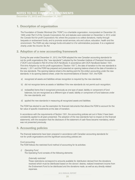### **1. Description of organization**

The Foundation of Greater Montreal (the "FGM") is a charitable organization, incorporated on December 20, 1999 under Part II of the *Canada Corporations Act*, and statutes were extended on December 4, 2012 under the *Canada Not-for-profit Corporations Act*, where the purpose is to collect donations, mainly through bequests or endowment funds, and to promote social services, arts and culture, education, health and the environment. The FGM can also manage funds entrusted to it for administrative purposes. It is a registered charity under the *Income Tax Act*.

## **2. Adoption of a new accounting framework**

During the year ended December 31, 2012, the FGM adopted the new Canadian accounting standards for not-for-profit organizations (the "new standards") adopted by the Canadian Institute of Chartered Accountants ("CICA") and included in Part III of the CICA Handbook. In accordance with CICA Handbook Section 1501, *First-time Adoption by not-for-profit organizations* ("Section 1501"), the date of transition to the new standards is January 1, 2011 and the FGM has prepared and presented an opening balance sheet at the date of transition to the new standards. This opening balance sheet is the starting point for the entity's accounting under the new standards. In its opening balance sheet, under the recommendations of Section 1501, the FGM:

- a) recognized all assets and liabilities whose recognition is required by the new standards;
- b) did not recognize items as assets or liabilities if the new standards do not permit such recognition;
- c) reclassified items that it recognized previously as one type of asset, liability or component of fund balances, but are recognized as a different type of asset, liability or component of fund balances under the new standards; and
- d) applied the new standards in measuring all recognized assets and liabilities.

The FGM has elected to use the exemption for financial instruments that allows the FGM to account for the fair value of specific investments at the date of transition.

In accordance with the requirements of Section 1501, the accounting policies set out in Note 3 have been consistently applied to all years presented. The adoption of the new standards had no impact on the financial statements, with the exception that the disclosure of the statement of cash flows became mandatory, which was not presented previously.

## **3. Accounting policies**

The financial statements have been prepared in accordance with Canadian accounting standards for not-for-profit organizations and the significant accounting policies are:

#### *Fund accounting*

The FGM follows the restricted fund method of accounting for its activities:

#### *i) Operating Fund*

The Operating Fund consists of the following elements:

#### *Externally restricted*

These restrictions correspond to amounts available for distribution derived from the donations received which must be distributed based on the donors' desires, realized investment income from the Endowment Fund to be distributed and the donations made, as well as any directly related expenses.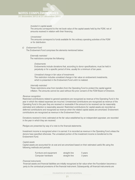**31 décembre 2012 et 31 décembre 2011**

#### *Invested in capital assets*

The amounts correspond to the net book value of the capital assets held by the FGM, net of amounts received in relation with their financing.

#### *Unrestricted*

The amounts correspond to funds available for the ordinary operating activities of the FGM or for distribution.

#### *ii) Endowment Fund*

The Endowment Fund comprises the elements mentioned below:

#### *Externally restricted*

The restrictions comprise the following:

#### *Endowments*

Endowments include donations that, according to donor specifications, must be held in perpetuity or for a specific period of time, usually for a minimum of ten years.

#### *Unrealized change in fair value of investments*

This restriction includes unrealized change in fair value on endowment investments, which is presented in the Endowment Fund until it is realized.

#### *Internally restricted*

These restrictions arise from transfers from the Operating Fund to protect the capital against inflation. The amounts cannot be used without the prior consent of the FGM Board of Directors.

#### *Revenue recognition*

Restricted contributions related to general operations are recognized as revenue of the Operating Fund in the year in which the related expenses are incurred. Unrestricted contributions are recognized as revenue of the Operating Fund in the year they are received or receivable if the amount to be received can be reasonably estimated and collection is reasonably assured. Restricted contributions for capital assets are recorded as deferred contributions and recognized as revenue when the related capital assets are amortized. Endowment contributions are recognized as revenue in the Endowment Fund.

Donations received in-kind, estimated at the fair value established by an independent appraiser, are recorded in the year in which they are received.

Pledges are presented by way of a note to the financial statements.

Investment income is recognized when it is earned. It is recorded as revenue in the Operating Fund unless the donors have specified otherwise. The unrealized portion of the investment income is transferred to the Endowment Fund.

#### *Capital assets*

Capital assets are accounted for at cost and are amortized based on their estimated useful life using the following methods and periods:

| Furniture and equipment | straight-line | 5 years |
|-------------------------|---------------|---------|
| Computer hardware       | straight-line | 3 years |

#### *Financial instruments*

Financial assets and financial liabilities are initially recognized at fair value when the Foundation becomes a party to the contractual provisions of the financial instrument. Subsequently, all financial instruments are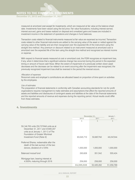## **NOTES TO THE FINANCIAL STATEMENTS**

**December 31, 2012 and December 31, 2011**

measured at amortized cost except for investments, which are measured at fair value at the balance sheet date. Investments have been valued using the bid price. Fair value fluctuations, including interest earned, interest accrued, gains and losses realized on disposal and unrealized gains and losses are included in investment income in the statement of operations and changes in fund balances.

Transaction costs related to financial instruments measured at fair value are expensed as incurred. Transaction costs related to other financial instruments are added to the carrying value of the asset or netted against the carrying value of the liability and are then recognized over the expected life of the instrument using the straight-line method. Any premium or discount related to an instrument measured at amortized cost is amortized over the expected life of the item using the straight-line method and recognized as interest income or expense.

With respect to financial assets measured at cost or amortized cost, the FGM recognizes an impairment loss, if any, when it determines that a significant adverse change has occurred during the period in the expected timing or amount of future cash flows. When the extent of impairment of a previously written-down asset decreases and the decrease can be related to an event occurring after the impairment was recognized, the previously recognized impairment loss shall be reversed in the period the reversal occurs.

#### *Allocation of expenses*

Personnel costs and employer's contributions are allocated based on proportion of time spent on activities by the employees.

#### *Use of estimates*

The preparation of financial statements in conformity with Canadian accounting standards for not-for-profit organizations requires management to make estimates and assumptions that affect the reported amounts of assets and liabilities and disclosures of contingent assets and liabilities at the date of the financial statements and the reported amounts of revenue and expenses during the reporting period. Actual results could differ from these estimates.

#### **4. Investments**

|                                                                                                                                                                                   | December 31. |            | January 1, |
|-----------------------------------------------------------------------------------------------------------------------------------------------------------------------------------|--------------|------------|------------|
|                                                                                                                                                                                   | 2012         | 2011       | 2011       |
|                                                                                                                                                                                   | \$           | \$         | \$         |
| 59,146.700 units (50,727.846 units as at<br>December 31, 2011 and 47,085.207<br>units as at January 1, 2011) of The<br>Foundation of Greater Montreal<br>Investment Fund (Note 6) | 63,045,710   | 50,887,740 | 49.247.344 |
|                                                                                                                                                                                   |              |            |            |
| Preferred Shares, redeemable after the<br>death of the last survivor of the two                                                                                                   |              |            |            |
| donors. dividend of 4.725%                                                                                                                                                        | 1.000.000    | 1.000.000  | 1.000.000  |
| Balanced mutual fund                                                                                                                                                              | 293,828      | 351,542    | 555,424    |
| Mortgage Ioan, bearing interest at                                                                                                                                                |              |            |            |
| 4.500%, maturing through 2018                                                                                                                                                     | 256,000      | 256,000    | 256,000    |
|                                                                                                                                                                                   | 64,595,538   | 52.495.282 | 51.058.768 |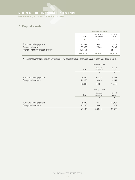## **5. Capital assets**

|                                |         | December 31, 2012           |                   |
|--------------------------------|---------|-----------------------------|-------------------|
|                                | Cost    | Accumulated<br>amortization | Net book<br>value |
|                                |         |                             | \$                |
| Furniture and equipment        | 25,889  | 19.041                      | 6,848             |
| Computer hardware              | 28,883  | 22.203                      | 6,680             |
| Management information system* | 181,151 |                             | 181,151           |
|                                | 235,923 | 41.244                      | 194,679           |

\* The management information system is not yet operational and therefore has not been amortized in 2012.

|                                              | December 31, 2011 |                             |                   |
|----------------------------------------------|-------------------|-----------------------------|-------------------|
|                                              | Cost              | Accumulated<br>amortization | Net book<br>value |
|                                              | \$                | \$                          | \$                |
| Furniture and equipment                      | 25,889            | 17,328                      | 8,561             |
| Computer hardware                            | 26,123            | 20,006                      | 6,117             |
|                                              | 52,012            | 37,334                      | 14,678            |
|                                              |                   | January 1, 2011             |                   |
|                                              | Cost              | Accumulated<br>amortization | Net book<br>value |
|                                              | \$                | \$                          | \$                |
| Furniture and equipment<br>Computer hardware | 25,280<br>24,150  | 13,879<br>16,961            | 11,401<br>7,189   |
|                                              | 49,430            | 30,840                      | 18,590            |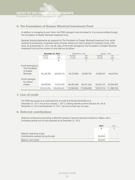### **6. The Foundation of Greater Montreal Investment Fund**

In addition to managing its own funds, the FGM manages funds entrusted to it by various entities through The Foundation of Greater Montreal Investment Fund.

Separate financial statements are prepared for The Foundation of Greater Montreal Investment Fund, which presents its investments, comprised mainly of bonds, stocks and units of shares of investment funds, at fair value. As at December 31, 2012, the fair value of the funds managed by The Foundation of Greater Montreal Investment Fund and the number of units held are as follows:

|                                                                | <b>December 31, 2012</b> |             | December 31, 2011 |             | January 1, 2011 |             |
|----------------------------------------------------------------|--------------------------|-------------|-------------------|-------------|-----------------|-------------|
|                                                                | Number                   | Fair        | Number            | Fair        | Number          | Fair        |
|                                                                | of units                 | value       | of units          | value       | of units        | value       |
|                                                                |                          | \$          |                   | \$          |                 | \$          |
| Funds belonging to<br>The Foundation<br>of Greater<br>Montreal | 59.146.700               | 63.045.710  | 50.727.846        | 50.887.740  | 47.085.207      | 49.247.344  |
| Funds managed<br>for various<br>entities                       | 68.467.064               | 72.910.552  | 64.360.488        | 64.501.326  | 59.932.107      | 62.638.362  |
|                                                                | 127.613.764              | 135,956,262 | 115.088.334       | 115.389.066 | 107.017.314     | 111.885.706 |

## **7. Line of credit**

The FGM has access to an authorized line of credit of \$100,000 (\$100,000 as at December 31, 2011 and nil as at January 1, 2011), bearing interest at prime rate plus 3%. As at December 31, 2012 and December 31, 2011, the line of credit was not used.

#### **8. Deferred contributions**

Deferred contributions amounting to \$20,000 consists of external resources received in relation with a fundraising activity and not yet expensed as at December 31, 2012.

| 2012 | 2011             |
|------|------------------|
|      |                  |
|      |                  |
|      |                  |
|      |                  |
|      | 20,000<br>20,000 |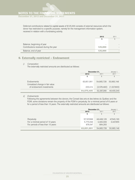Deferred contributions related to capital assets of \$125,000 consists of external resources which the donor has restricted to a specific purpose, namely for the management information system, received in relation with a fundraising activity.

|                                                                      | 2012    | 2011 |
|----------------------------------------------------------------------|---------|------|
|                                                                      |         |      |
| Balance, beginning of year<br>Contributions received during the year | 125,000 |      |
| Balance, end of year                                                 | 125,000 |      |

### **9. Externally restricted – Endowment**

*i) Composition*

The externally restricted amounts are distributed as follows:

|                                 |            | December 31, |                             |
|---------------------------------|------------|--------------|-----------------------------|
|                                 | 2012       | 2011         | 2011                        |
|                                 |            | \$           |                             |
|                                 |            |              |                             |
| <b>Endowments</b>               | 63.851.991 | 54.865.728   | 50.983.148                  |
| Unrealized change in fair value |            |              |                             |
| of endowment investments        | 223.414    |              | $(2,578,460)$ $(1,527,803)$ |
|                                 |            |              |                             |
|                                 | 64,075,405 | 52.287.268   | 49.455.345                  |

#### *ii) Endowments*

Following the agreements between the donors, the Conseil des arts et des lettres du Québec and the FGM, some donations remain the property of the FGM in perpetuity, for a minimal period of10 years or for a period of less than 10 years. The externally restricted amounts are distributed as follows:

|                                   | December 31, |            | January 1. |
|-----------------------------------|--------------|------------|------------|
|                                   | 2012         | 2011       | 2011       |
|                                   |              |            |            |
|                                   |              |            |            |
| Perpetuity                        | 57.197.898   | 49.498.129 | 47,545,193 |
| For a minimal period of 10 years  | 5,775,046    | 4.483.306  | 3,437,955  |
| For periods of less than 10 years | 879.047      | 884.293    |            |
|                                   | 63,851,991   | 54,865,728 | 50.983.148 |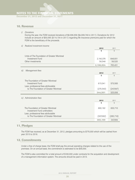## **NOTES TO THE FINANCIAL STATEMENTS**

**December 31, 2012 and December 31, 2011**

#### **10. Revenue**

*i) Donations*

During the year, the FGM received donations of \$9,098,358 (\$4,099,749 in 2011). Donations for 2012 include an amount of \$50,095 (\$114,154 in 2011) regarding life insurance premiums paid for which the FGM is the beneficiary of the proceeds.

*ii) Realized investment income*

|                                             | 2012      | 2011    |
|---------------------------------------------|-----------|---------|
|                                             |           |         |
|                                             |           |         |
| Units of The Foundation of Greater Montreal |           |         |
| Investment Fund                             | 2,140,376 | 648,931 |
| Other investments                           | 56.548    | 56.520  |
|                                             | 2,196,924 | 705.451 |

*iii) Management fees*

|                                       | 2012      | 2011      |
|---------------------------------------|-----------|-----------|
|                                       | S         |           |
|                                       |           |           |
| The Foundation of Greater Montreal    |           |           |
| Investment Fund                       | 615.041   | 573.583   |
| Less: professional fees attributable  |           |           |
| to The Foundation of Greater Montreal | (270.540) | (247.647) |
|                                       | 344.501   | 325.936   |

*iv) Administration fees* **2012** 2011 **\$** \$ The Foundation of Greater Montreal 690, 690, 690, 693,710 Investment Fund unitholders Less: professional fees attributable to The Foundation of Greater Montreal (307,062) (285,716) **383,100** 347,994

### **11. Pledges**

The FGM has received, as at December 31, 2012, pledges amounting to \$770,000 which will be cashed from year 2013 to 2016.

. . . . . . . . . . . . . . . . . . . .

## **12. Commitments**

Under a free of charge lease, the FGM shall pay the annual operating charges related to the use of the premises. On an annual basis, the commitment is estimated to be \$56,000.

The FGM is also committed for a total amount of \$180,000 under contracts for the acquisition and development of a management information system. The amounts should be paid in 2013.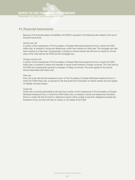### **13. Financial instruments**

Because of its financial assets and liabilities, the FGM is exposed to the following risks related to the use of financial instruments:

#### *Interest rate risk*

A portion of the investments of The Foundation of Greater Montreal Investment Fund, in which the FGM holds units, is invested in bonds and debentures, which bear interest at a fixed rate. The mortgage loan also bears interest at a fixed rate. Consequently, a change in market interest rate will have an impact on the fair value of the units held by the FGM and the mortgage loan.

#### *Foreign currency risk*

A portion of the investments of The Foundation of Greater Montreal Investment Fund, in which the FGM holds units, is invested in shares and interests in equity funds invested in foreign countries. The units held by the FGM are consequently exposed to changes in foreign currencies. The same applies to the earned income associated with these units.

#### *Price risk*

Price risk is the risk that the investment return of The Foundation of Greater Montreal Investment Fund, in which the FGM holds units, is exposed to risk that arises from fluctuation of market indexes and the degree of volatility of those indexes.

#### *Credit risk*

Credit risk is primarily attributable to the fact that a portion of the investments of The Foundation of Greater Montreal Investment Fund, in which the FGM holds units, is invested in bonds and debentures.Therefore, there is a credit risk that the bond or debenture issuers will be unable to pay their obligations towards the Investment Fund, and this will have an impact on the assets of the FGM.

FONDATION DU GRAND MONTRÉAL